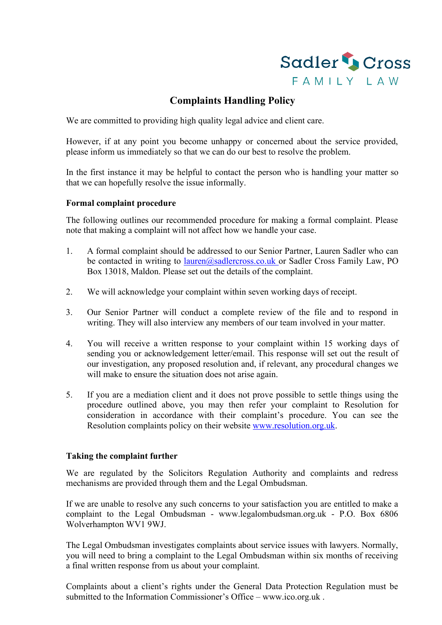

## **Complaints Handling Policy**

We are committed to providing high quality legal advice and client care.

However, if at any point you become unhappy or concerned about the service provided, please inform us immediately so that we can do our best to resolve the problem.

In the first instance it may be helpful to contact the person who is handling your matter so that we can hopefully resolve the issue informally.

## **Formal complaint procedure**

The following outlines our recommended procedure for making a formal complaint. Please note that making a complaint will not affect how we handle your case.

- 1. A formal complaint should be addressed to our Senior Partner, Lauren Sadler who can be contacted in writing to [lauren@sadlercross.co.uk o](mailto:lauren@sadlercross.co.uk)r Sadler Cross Family Law, PO Box 13018, Maldon. Please set out the details of the complaint.
- 2. We will acknowledge your complaint within seven working days of receipt.
- 3. Our Senior Partner will conduct a complete review of the file and to respond in writing. They will also interview any members of our team involved in your matter.
- 4. You will receive a written response to your complaint within 15 working days of sending you or acknowledgement letter/email. This response will set out the result of our investigation, any proposed resolution and, if relevant, any procedural changes we will make to ensure the situation does not arise again.
- 5. If you are a mediation client and it does not prove possible to settle things using the procedure outlined above, you may then refer your complaint to Resolution for consideration in accordance with their complaint's procedure. You can see the Resolution complaints policy on their website [www.resolution.org.uk.](http://www.resolution.org.uk/)

## **Taking the complaint further**

We are regulated by the Solicitors Regulation Authority and complaints and redress mechanisms are provided through them and the Legal Ombudsman.

If we are unable to resolve any such concerns to your satisfaction you are entitled to make a complaint to the Legal Ombudsman - [www.legalombudsman.org.uk](http://www.legalombudsman.org.uk/) - P.O. Box 6806 Wolverhampton WV1 9WJ.

The Legal Ombudsman investigates complaints about service issues with lawyers. Normally, you will need to bring a complaint to the Legal Ombudsman within six months of receiving a final written response from us about your complaint.

Complaints about a client's rights under the General Data Protection Regulation must be submitted to the Information Commissioner's Office – [www.ico.org.uk .](http://www.ico.org.uk/)